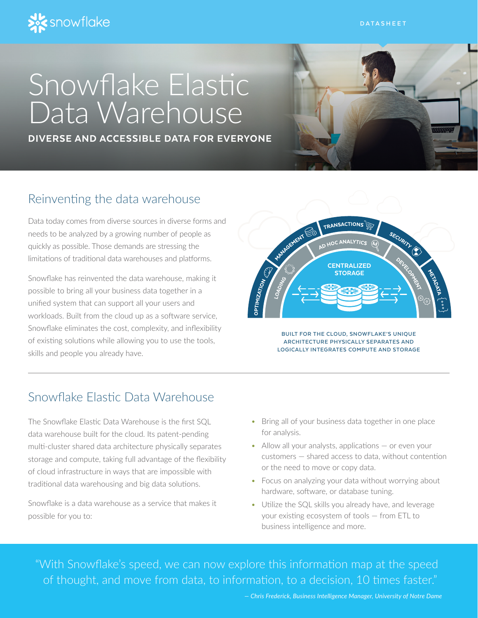

# Snowflake Elastic Data Warehouse

DIVERSE AND ACCESSIBLE DATA FOR EVERYONE



## Reinventing the data warehouse

Data today comes from diverse sources in diverse forms and needs to be analyzed by a growing number of people as quickly as possible. Those demands are stressing the limitations of traditional data warehouses and platforms.

Snowflake has reinvented the data warehouse, making it possible to bring all your business data together in a unified system that can support all your users and workloads. Built from the cloud up as a software service, Snowflake eliminates the cost, complexity, and inflexibility of existing solutions while allowing you to use the tools, skills and people you already have.



**BUILT FOR THE CLOUD, SNOWFLAKE'S UNIQUE ARCHITECTURE PHYSICALLY SEPARATES AND LOGICALLY INTEGRATES COMPUTE AND STORAGE**

# Snowflake Elastic Data Warehouse

The Snowflake Elastic Data Warehouse is the first SQL data warehouse built for the cloud. Its patent-pending multi-cluster shared data architecture physically separates storage and compute, taking full advantage of the flexibility of cloud infrastructure in ways that are impossible with traditional data warehousing and big data solutions.

Snowflake is a data warehouse as a service that makes it possible for you to:

- Bring all of your business data together in one place for analysis.
- Allow all your analysts, applications or even your customers — shared access to data, without contention or the need to move or copy data.
- Focus on analyzing your data without worrying about hardware, software, or database tuning.
- Utilize the SQL skills you already have, and leverage your existing ecosystem of tools — from ETL to business intelligence and more.

"With Snowflake's speed, we can now explore this information map at the speed of thought, and move from data, to information, to a decision, 10 times faster."

*— Chris Frederick, Business Intelligence Manager, University of Notre Dame*